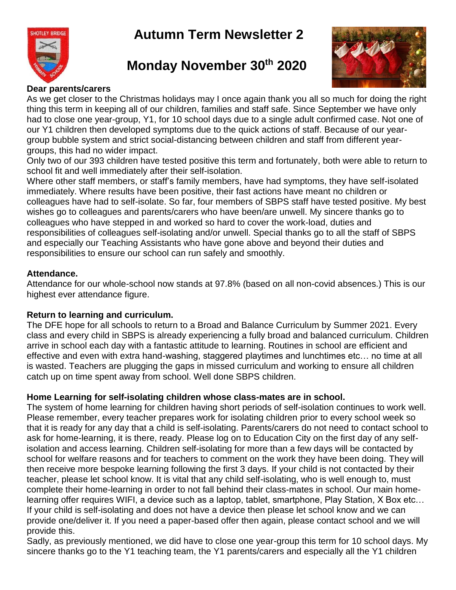# **Autumn Term Newsletter 2**



# **Monday November 30th 2020**



#### **Dear parents/carers**

As we get closer to the Christmas holidays may I once again thank you all so much for doing the right thing this term in keeping all of our children, families and staff safe. Since September we have only had to close one year-group, Y1, for 10 school days due to a single adult confirmed case. Not one of our Y1 children then developed symptoms due to the quick actions of staff. Because of our yeargroup bubble system and strict social-distancing between children and staff from different yeargroups, this had no wider impact.

Only two of our 393 children have tested positive this term and fortunately, both were able to return to school fit and well immediately after their self-isolation.

Where other staff members, or staff's family members, have had symptoms, they have self-isolated immediately. Where results have been positive, their fast actions have meant no children or colleagues have had to self-isolate. So far, four members of SBPS staff have tested positive. My best wishes go to colleagues and parents/carers who have been/are unwell. My sincere thanks go to colleagues who have stepped in and worked so hard to cover the work-load, duties and responsibilities of colleagues self-isolating and/or unwell. Special thanks go to all the staff of SBPS and especially our Teaching Assistants who have gone above and beyond their duties and responsibilities to ensure our school can run safely and smoothly.

#### **Attendance.**

Attendance for our whole-school now stands at 97.8% (based on all non-covid absences.) This is our highest ever attendance figure.

#### **Return to learning and curriculum.**

The DFE hope for all schools to return to a Broad and Balance Curriculum by Summer 2021. Every class and every child in SBPS is already experiencing a fully broad and balanced curriculum. Children arrive in school each day with a fantastic attitude to learning. Routines in school are efficient and effective and even with extra hand-washing, staggered playtimes and lunchtimes etc… no time at all is wasted. Teachers are plugging the gaps in missed curriculum and working to ensure all children catch up on time spent away from school. Well done SBPS children.

## **Home Learning for self-isolating children whose class-mates are in school.**

The system of home learning for children having short periods of self-isolation continues to work well. Please remember, every teacher prepares work for isolating children prior to every school week so that it is ready for any day that a child is self-isolating. Parents/carers do not need to contact school to ask for home-learning, it is there, ready. Please log on to Education City on the first day of any selfisolation and access learning. Children self-isolating for more than a few days will be contacted by school for welfare reasons and for teachers to comment on the work they have been doing. They will then receive more bespoke learning following the first 3 days. If your child is not contacted by their teacher, please let school know. It is vital that any child self-isolating, who is well enough to, must complete their home-learning in order to not fall behind their class-mates in school. Our main homelearning offer requires WIFI, a device such as a laptop, tablet, smartphone, Play Station, X Box etc… If your child is self-isolating and does not have a device then please let school know and we can provide one/deliver it. If you need a paper-based offer then again, please contact school and we will provide this.

Sadly, as previously mentioned, we did have to close one year-group this term for 10 school days. My sincere thanks go to the Y1 teaching team, the Y1 parents/carers and especially all the Y1 children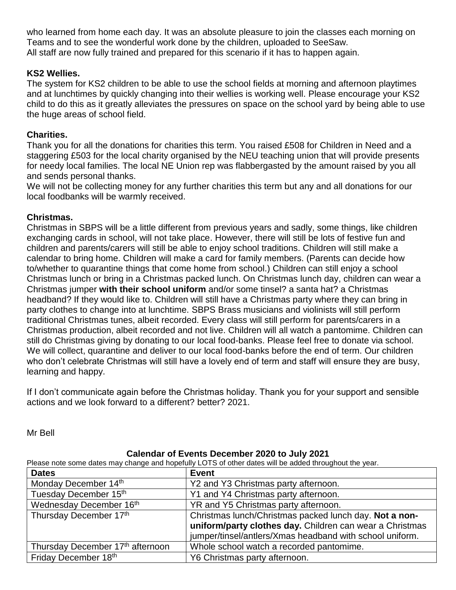who learned from home each day. It was an absolute pleasure to join the classes each morning on Teams and to see the wonderful work done by the children, uploaded to SeeSaw. All staff are now fully trained and prepared for this scenario if it has to happen again.

## **KS2 Wellies.**

The system for KS2 children to be able to use the school fields at morning and afternoon playtimes and at lunchtimes by quickly changing into their wellies is working well. Please encourage your KS2 child to do this as it greatly alleviates the pressures on space on the school yard by being able to use the huge areas of school field.

# **Charities.**

Thank you for all the donations for charities this term. You raised £508 for Children in Need and a staggering £503 for the local charity organised by the NEU teaching union that will provide presents for needy local families. The local NE Union rep was flabbergasted by the amount raised by you all and sends personal thanks.

We will not be collecting money for any further charities this term but any and all donations for our local foodbanks will be warmly received.

## **Christmas.**

Christmas in SBPS will be a little different from previous years and sadly, some things, like children exchanging cards in school, will not take place. However, there will still be lots of festive fun and children and parents/carers will still be able to enjoy school traditions. Children will still make a calendar to bring home. Children will make a card for family members. (Parents can decide how to/whether to quarantine things that come home from school.) Children can still enjoy a school Christmas lunch or bring in a Christmas packed lunch. On Christmas lunch day, children can wear a Christmas jumper **with their school uniform** and/or some tinsel? a santa hat? a Christmas headband? If they would like to. Children will still have a Christmas party where they can bring in party clothes to change into at lunchtime. SBPS Brass musicians and violinists will still perform traditional Christmas tunes, albeit recorded. Every class will still perform for parents/carers in a Christmas production, albeit recorded and not live. Children will all watch a pantomime. Children can still do Christmas giving by donating to our local food-banks. Please feel free to donate via school. We will collect, quarantine and deliver to our local food-banks before the end of term. Our children who don't celebrate Christmas will still have a lovely end of term and staff will ensure they are busy, learning and happy.

If I don't communicate again before the Christmas holiday. Thank you for your support and sensible actions and we look forward to a different? better? 2021.

Mr Bell

#### **Calendar of Events December 2020 to July 2021**

Please note some dates may change and hopefully LOTS of other dates will be added throughout the year.

| <b>Dates</b>                     | <b>Event</b>                                                                                                       |
|----------------------------------|--------------------------------------------------------------------------------------------------------------------|
| Monday December 14th             | Y2 and Y3 Christmas party afternoon.                                                                               |
| Tuesday December 15th            | Y1 and Y4 Christmas party afternoon.                                                                               |
| Wednesday December 16th          | YR and Y5 Christmas party afternoon.                                                                               |
| Thursday December 17th           | Christmas lunch/Christmas packed lunch day. Not a non-<br>uniform/party clothes day. Children can wear a Christmas |
|                                  | jumper/tinsel/antlers/Xmas headband with school uniform.                                                           |
| Thursday December 17th afternoon | Whole school watch a recorded pantomime.                                                                           |
| Friday December 18th             | Y6 Christmas party afternoon.                                                                                      |